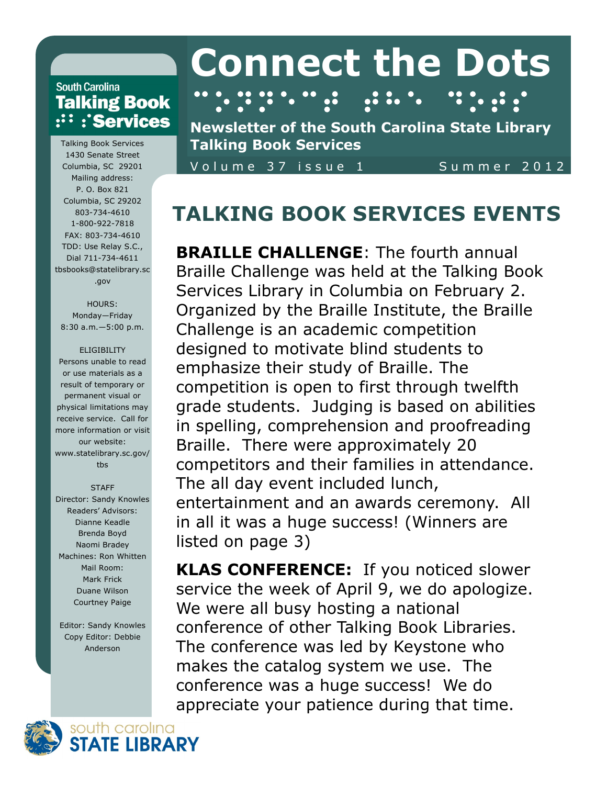### **South Carolina Talking Book**  $\cdots$ : Services

Talking Book Services 1430 Senate Street Columbia, SC 29201 Mailing address: P. O. Box 821 Columbia, SC 29202 803-734-4610 1-800-922-7818 FAX: 803-734-4610 TDD: Use Relay S.C., Dial 711-734-4611 tbsbooks@statelibrary.sc .gov

#### HOURS:

Monday—Friday 8:30 a.m.—5:00 p.m.

#### ELIGIBILITY

Persons unable to read or use materials as a result of temporary or permanent visual or physical limitations may receive service. Call for more information or visit our website: www.statelibrary.sc.gov/ tbs

#### **STAFF**

Director: Sandy Knowles Readers' Advisors: Dianne Keadle Brenda Boyd Naomi Bradey Machines: Ron Whitten Mail Room: Mark Frick Duane Wilson Courtney Paige

Editor: Sandy Knowles Copy Editor: Debbie Anderson

# **Connect the Dots**

⠉⠕⠝⠝⠑⠉⠞⠀⠞⠓⠑⠀⠙⠕⠞⠎

**Newsletter of the South Carolina State Library Talking Book Services**

Volume 37 issue 1 Summer 2012

# **TALKING BOOK SERVICES EVENTS**

**BRAILLE CHALLENGE:** The fourth annual Braille Challenge was held at the Talking Book Services Library in Columbia on February 2. Organized by the Braille Institute, the Braille Challenge is an academic competition designed to motivate blind students to emphasize their study of Braille. The competition is open to first through twelfth grade students. Judging is based on abilities in spelling, comprehension and proofreading Braille. There were approximately 20 competitors and their families in attendance. The all day event included lunch, entertainment and an awards ceremony. All in all it was a huge success! (Winners are listed on page 3)

**KLAS CONFERENCE:** If you noticed slower service the week of April 9, we do apologize. We were all busy hosting a national conference of other Talking Book Libraries. The conference was led by Keystone who makes the catalog system we use. The conference was a huge success! We do appreciate your patience during that time.

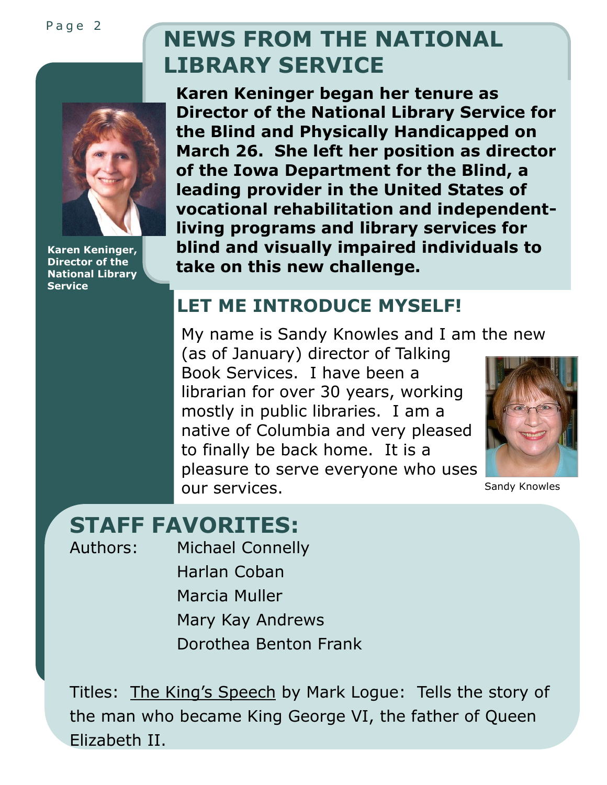Page 2

# **NEWS FROM THE NATIONAL LIBRARY SERVICE**



**Karen Keninger, Director of the National Library Service**

**Karen Keninger began her tenure as Director of the National Library Service for the Blind and Physically Handicapped on March 26. She left her position as director of the Iowa Department for the Blind, a leading provider in the United States of vocational rehabilitation and independentliving programs and library services for blind and visually impaired individuals to take on this new challenge.**

# **LET ME INTRODUCE MYSELF!**

My name is Sandy Knowles and I am the new (as of January) director of Talking Book Services. I have been a librarian for over 30 years, working mostly in public libraries. I am a native of Columbia and very pleased to finally be back home. It is a pleasure to serve everyone who uses OUT SETVICES. Sandy Knowles



# **STAFF FAVORITES:**

Authors: Michael Connelly Harlan Coban Marcia Muller Mary Kay Andrews Dorothea Benton Frank

Titles: The King's Speech by Mark Logue: Tells the story of the man who became King George VI, the father of Queen Elizabeth II.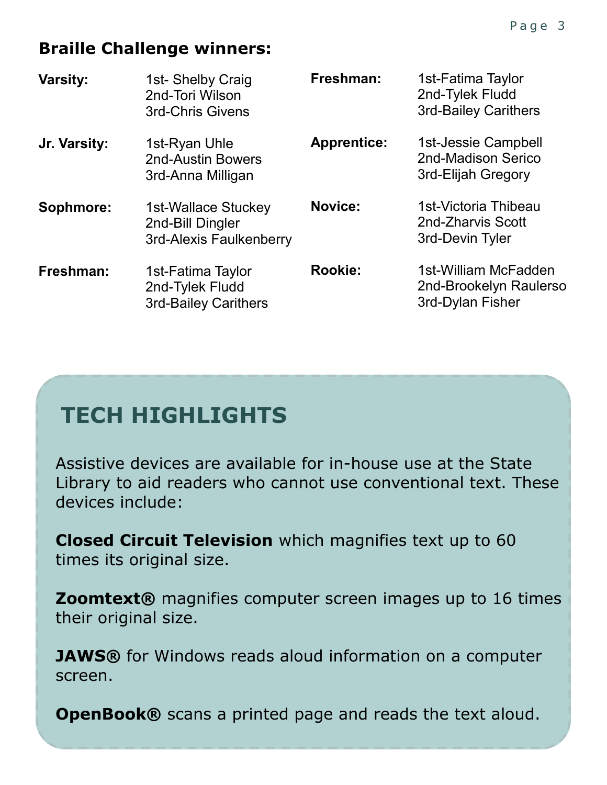# **Braille Challenge winners:**

| <b>Varsity:</b> | 1st-Shelby Craig<br>2nd-Tori Wilson<br><b>3rd-Chris Givens</b>      | Freshman:          | 1st-Fatima Taylor<br>2nd-Tylek Fludd<br><b>3rd-Bailey Carithers</b> |
|-----------------|---------------------------------------------------------------------|--------------------|---------------------------------------------------------------------|
| Jr. Varsity:    | 1st-Ryan Uhle<br><b>2nd-Austin Bowers</b><br>3rd-Anna Milligan      | <b>Apprentice:</b> | 1st-Jessie Campbell<br>2nd-Madison Serico<br>3rd-Elijah Gregory     |
| Sophmore:       | 1st-Wallace Stuckey<br>2nd-Bill Dingler<br>3rd-Alexis Faulkenberry  | <b>Novice:</b>     | 1st-Victoria Thibeau<br>2nd-Zharvis Scott<br>3rd-Devin Tyler        |
| Freshman:       | 1st-Fatima Taylor<br>2nd-Tylek Fludd<br><b>3rd-Bailey Carithers</b> | <b>Rookie:</b>     | 1st-William McFadden<br>2nd-Brookelyn Raulerso<br>3rd-Dylan Fisher  |

# **TECH HIGHLIGHTS**

Assistive devices are available for in-house use at the State Library to aid readers who cannot use conventional text. These devices include:

**Closed Circuit Television** which magnifies text up to 60 times its original size.

**Zoomtext®** magnifies computer screen images up to 16 times their original size.

**JAWS®** for Windows reads aloud information on a computer screen.

**OpenBook®** scans a printed page and reads the text aloud.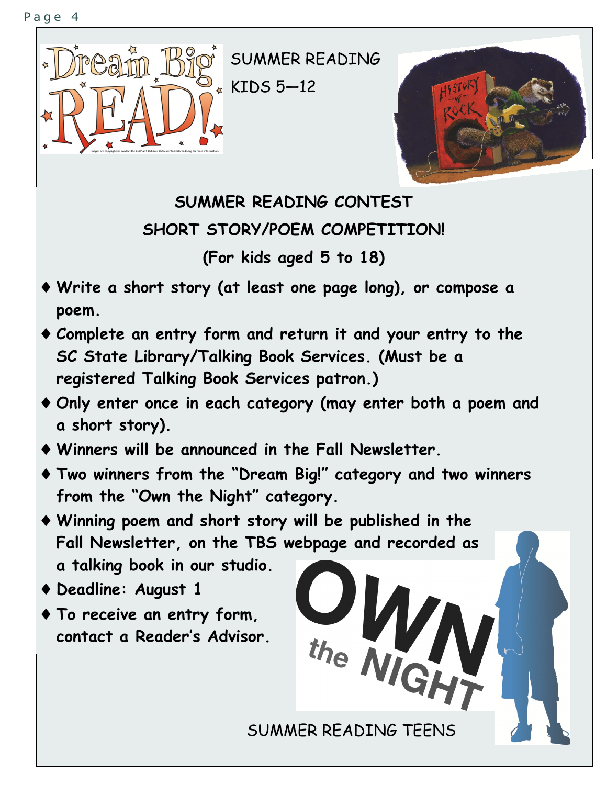



**SUMMER READING CONTEST SHORT STORY/POEM COMPETITION!**

**(For kids aged 5 to 18)**

- **Write a short story (at least one page long), or compose a poem.**
- **Complete an entry form and return it and your entry to the SC State Library/Talking Book Services. (Must be a registered Talking Book Services patron.)**
- **Only enter once in each category (may enter both a poem and a short story).**
- **Winners will be announced in the Fall Newsletter.**
- **Two winners from the "Dream Big!" category and two winners from the "Own the Night" category.**
- **Winning poem and short story will be published in the Fall Newsletter, on the TBS webpage and recorded as a talking book in our studio.**
- **Deadline: August 1**
- **To receive an entry form, contact a Reader's Advisor.**

SUMMER READING TEENS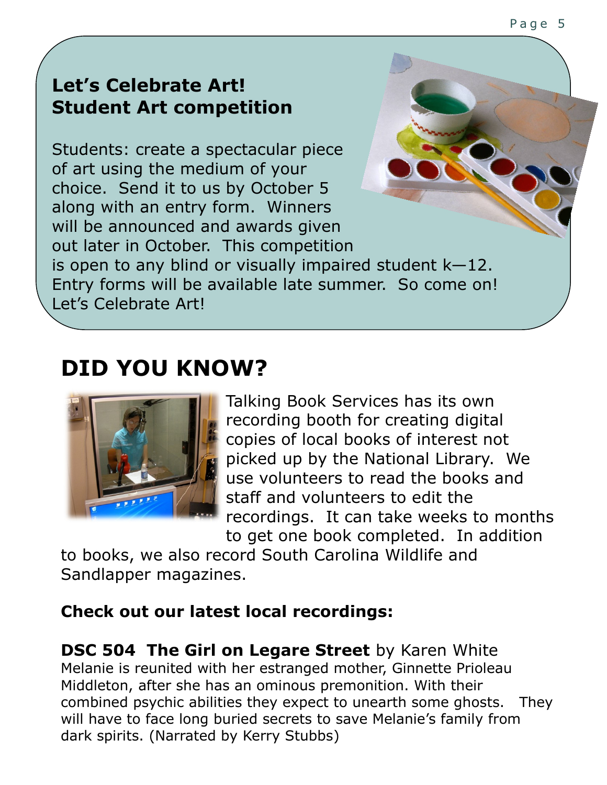# **Let's Celebrate Art! Student Art competition**

Students: create a spectacular piece of art using the medium of your choice. Send it to us by October 5 along with an entry form. Winners will be announced and awards given out later in October. This competition is open to any blind or visually impaired student k—12. Entry forms will be available late summer. So come on! Let's Celebrate Art!

# **DID YOU KNOW?**



Talking Book Services has its own recording booth for creating digital copies of local books of interest not picked up by the National Library. We use volunteers to read the books and staff and volunteers to edit the recordings. It can take weeks to months to get one book completed. In addition

to books, we also record South Carolina Wildlife and Sandlapper magazines.

### **Check out our latest local recordings:**

**DSC 504 The Girl on Legare Street** by Karen White Melanie is reunited with her estranged mother, Ginnette Prioleau Middleton, after she has an ominous premonition. With their combined psychic abilities they expect to unearth some ghosts. They will have to face long buried secrets to save Melanie's family from dark spirits. (Narrated by Kerry Stubbs)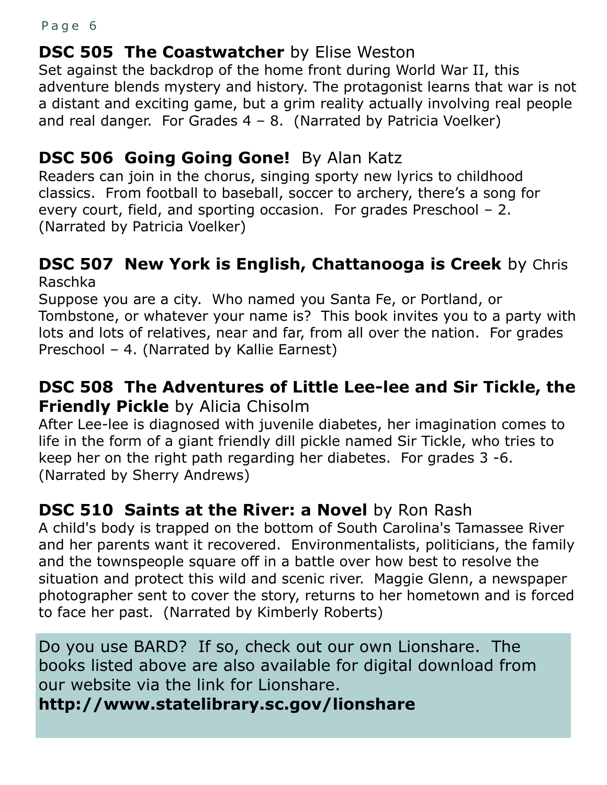#### Page 6

# **DSC 505 The Coastwatcher** by Elise Weston

Set against the backdrop of the home front during World War II, this adventure blends mystery and history. The protagonist learns that war is not a distant and exciting game, but a grim reality actually involving real people and real danger. For Grades  $4 - 8$ . (Narrated by Patricia Voelker)

# **DSC 506 Going Going Gone!** By Alan Katz

Readers can join in the chorus, singing sporty new lyrics to childhood classics. From football to baseball, soccer to archery, there's a song for every court, field, and sporting occasion. For grades Preschool – 2. (Narrated by Patricia Voelker)

### **DSC 507 New York is English, Chattanooga is Creek** by Chris Raschka

Suppose you are a city. Who named you Santa Fe, or Portland, or Tombstone, or whatever your name is? This book invites you to a party with lots and lots of relatives, near and far, from all over the nation. For grades Preschool – 4. (Narrated by Kallie Earnest)

## **DSC 508 The Adventures of Little Lee-lee and Sir Tickle, the Friendly Pickle** by Alicia Chisolm

After Lee-lee is diagnosed with juvenile diabetes, her imagination comes to life in the form of a giant friendly dill pickle named Sir Tickle, who tries to keep her on the right path regarding her diabetes. For grades 3 -6. (Narrated by Sherry Andrews)

# **DSC 510 Saints at the River: a Novel** by Ron Rash

A child's body is trapped on the bottom of South Carolina's Tamassee River and her parents want it recovered. Environmentalists, politicians, the family and the townspeople square off in a battle over how best to resolve the situation and protect this wild and scenic river. Maggie Glenn, a newspaper photographer sent to cover the story, returns to her hometown and is forced to face her past. (Narrated by Kimberly Roberts)

Do you use BARD? If so, check out our own Lionshare. The books listed above are also available for digital download from our website via the link for Lionshare.

### **http://www.statelibrary.sc.gov/lionshare**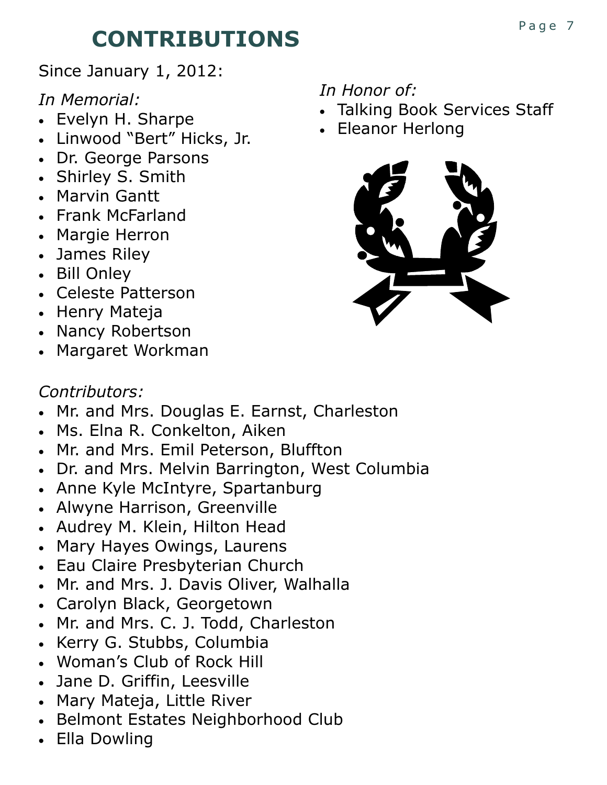# **CONTRIBUTIONS**

Since January 1, 2012:

*In Memorial:*

- Evelyn H. Sharpe
- Linwood "Bert" Hicks, Jr.
- Dr. George Parsons
- Shirley S. Smith
- Marvin Gantt
- Frank McFarland
- Margie Herron
- James Riley
- Bill Onley
- Celeste Patterson
- Henry Mateja
- Nancy Robertson
- Margaret Workman

# *In Honor of:*

- Talking Book Services Staff
- Eleanor Herlong



# *Contributors:*

- Mr. and Mrs. Douglas E. Earnst, Charleston
- Ms. Elna R. Conkelton, Aiken
- Mr. and Mrs. Emil Peterson, Bluffton
- Dr. and Mrs. Melvin Barrington, West Columbia
- Anne Kyle McIntyre, Spartanburg
- Alwyne Harrison, Greenville
- Audrey M. Klein, Hilton Head
- Mary Hayes Owings, Laurens
- Eau Claire Presbyterian Church
- Mr. and Mrs. J. Davis Oliver, Walhalla
- Carolyn Black, Georgetown
- Mr. and Mrs. C. J. Todd, Charleston
- Kerry G. Stubbs, Columbia
- Woman's Club of Rock Hill
- Jane D. Griffin, Leesville
- Mary Mateja, Little River
- Belmont Estates Neighborhood Club
- Ella Dowling